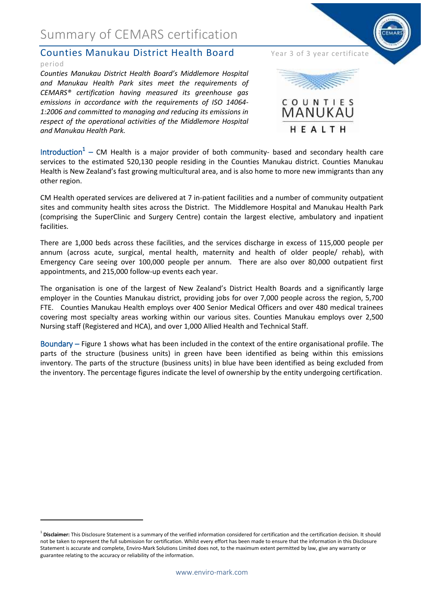## Summary of CEMARS certification

#### **Counties Manukau District Health Board** Year 3 of 3 year certificate period

*Counties Manukau District Health Board's Middlemore Hospital and Manukau Health Park sites meet the requirements of CEMARS® certification having measured its greenhouse gas emissions in accordance with the requirements of ISO 14064- 1:2006 and committed to managing and reducing its emissions in respect of the operational activities of the Middlemore Hospital and Manukau Health Park.*



Introduction<sup>1</sup> – CM Health is a major provider of both community- based and secondary health care services to the estimated 520,130 people residing in the Counties Manukau district. Counties Manukau Health is New Zealand's fast growing multicultural area, and is also home to more new immigrants than any other region.

CM Health operated services are delivered at 7 in-patient facilities and a number of community outpatient sites and community health sites across the District. The Middlemore Hospital and Manukau Health Park (comprising the SuperClinic and Surgery Centre) contain the largest elective, ambulatory and inpatient facilities.

There are 1,000 beds across these facilities, and the services discharge in excess of 115,000 people per annum (across acute, surgical, mental health, maternity and health of older people/ rehab), with Emergency Care seeing over 100,000 people per annum. There are also over 80,000 outpatient first appointments, and 215,000 follow-up events each year.

The organisation is one of the largest of New Zealand's District Health Boards and a significantly large employer in the Counties Manukau district, providing jobs for over 7,000 people across the region, 5,700 FTE. Counties Manukau Health employs over 400 Senior Medical Officers and over 480 medical trainees covering most specialty areas working within our various sites. Counties Manukau employs over 2,500 Nursing staff (Registered and HCA), and over 1,000 Allied Health and Technical Staff.

Boundary – Figure 1 shows what has been included in the context of the entire organisational profile. The parts of the structure (business units) in green have been identified as being within this emissions inventory. The parts of the structure (business units) in blue have been identified as being excluded from the inventory. The percentage figures indicate the level of ownership by the entity undergoing certification.

**.** 

<sup>&</sup>lt;sup>1</sup> Disclaimer: This Disclosure Statement is a summary of the verified information considered for certification and the certification decision. It should not be taken to represent the full submission for certification. Whilst every effort has been made to ensure that the information in this Disclosure Statement is accurate and complete, Enviro-Mark Solutions Limited does not, to the maximum extent permitted by law, give any warranty or guarantee relating to the accuracy or reliability of the information.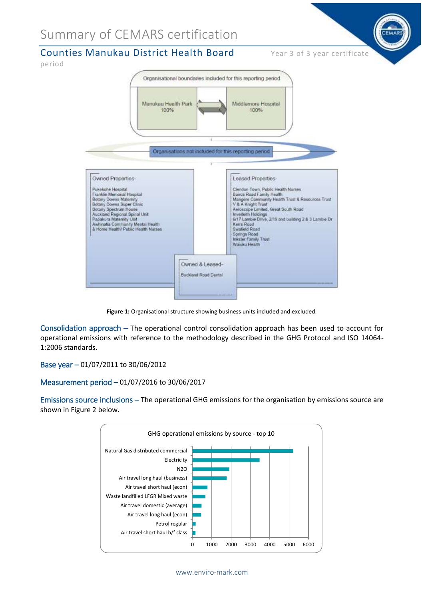# Summary of CEMARS certification



**Figure 1:** Organisational structure showing business units included and excluded.

Consolidation approach – The operational control consolidation approach has been used to account for operational emissions with reference to the methodology described in the GHG Protocol and ISO 14064- 1:2006 standards.

Base year – 01/07/2011 to 30/06/2012

#### Measurement period – 01/07/2016 to 30/06/2017

Emissions source inclusions – The operational GHG emissions for the organisation by emissions source are shown in Figure 2 below.

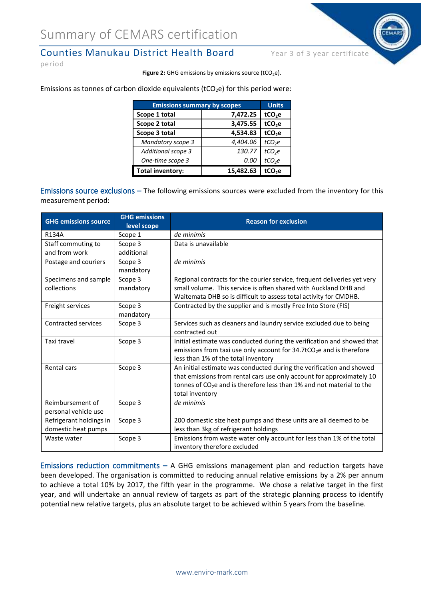### Counties Manukau District Health Board Year 3 of 3 year certificate

period

Figure 2: GHG emissions by emissions source (tCO<sub>2</sub>e).

Emissions as tonnes of carbon dioxide equivalents ( $tCO_2e$ ) for this period were:

| <b>Emissions summary by scopes</b> |           | <b>Units</b>       |
|------------------------------------|-----------|--------------------|
| Scope 1 total                      | 7,472.25  | tCO <sub>2</sub> e |
| Scope 2 total                      | 3,475.55  | tCO <sub>2</sub> e |
| Scope 3 total                      | 4,534.83  | tCO <sub>2</sub> e |
| <b>Mandatory scope 3</b>           | 4,404.06  | tCO <sub>2</sub> e |
| <b>Additional scope 3</b>          | 130.77    | tCO <sub>2</sub> e |
| One-time scope 3                   | 0.00      | tCO <sub>2</sub> e |
| <b>Total inventory:</b>            | 15,482.63 | tCO <sub>2</sub> e |

Emissions source exclusions – The following emissions sources were excluded from the inventory for this measurement period:

| <b>GHG emissions source</b> | <b>GHG emissions</b><br>level scope | <b>Reason for exclusion</b>                                                      |
|-----------------------------|-------------------------------------|----------------------------------------------------------------------------------|
| <b>R134A</b>                | Scope 1                             | de minimis                                                                       |
| Staff commuting to          | Scope 3                             | Data is unavailable                                                              |
| and from work               | additional                          |                                                                                  |
| Postage and couriers        | Scope 3                             | de minimis                                                                       |
|                             | mandatory                           |                                                                                  |
| Specimens and sample        | Scope 3                             | Regional contracts for the courier service, frequent deliveries yet very         |
| collections                 | mandatory                           | small volume. This service is often shared with Auckland DHB and                 |
|                             |                                     | Waitemata DHB so is difficult to assess total activity for CMDHB.                |
| Freight services            | Scope 3                             | Contracted by the supplier and is mostly Free Into Store (FIS)                   |
|                             | mandatory                           |                                                                                  |
| <b>Contracted services</b>  | Scope 3                             | Services such as cleaners and laundry service excluded due to being              |
|                             |                                     | contracted out                                                                   |
| Taxi travel                 | Scope 3                             | Initial estimate was conducted during the verification and showed that           |
|                             |                                     | emissions from taxi use only account for 34.7tCO <sub>2</sub> e and is therefore |
|                             |                                     | less than 1% of the total inventory                                              |
| Rental cars                 | Scope 3                             | An initial estimate was conducted during the verification and showed             |
|                             |                                     | that emissions from rental cars use only account for approximately 10            |
|                             |                                     | tonnes of $CO2e$ and is therefore less than 1% and not material to the           |
|                             |                                     | total inventory                                                                  |
| Reimbursement of            | Scope 3                             | de minimis                                                                       |
| personal vehicle use        |                                     |                                                                                  |
| Refrigerant holdings in     | Scope 3                             | 200 domestic size heat pumps and these units are all deemed to be                |
| domestic heat pumps         |                                     | less than 3kg of refrigerant holdings                                            |
| Waste water                 | Scope 3                             | Emissions from waste water only account for less than 1% of the total            |
|                             |                                     | inventory therefore excluded                                                     |

Emissions reduction commitments  $-$  A GHG emissions management plan and reduction targets have been developed. The organisation is committed to reducing annual relative emissions by a 2% per annum to achieve a total 10% by 2017, the fifth year in the programme. We chose a relative target in the first year, and will undertake an annual review of targets as part of the strategic planning process to identify potential new relative targets, plus an absolute target to be achieved within 5 years from the baseline.